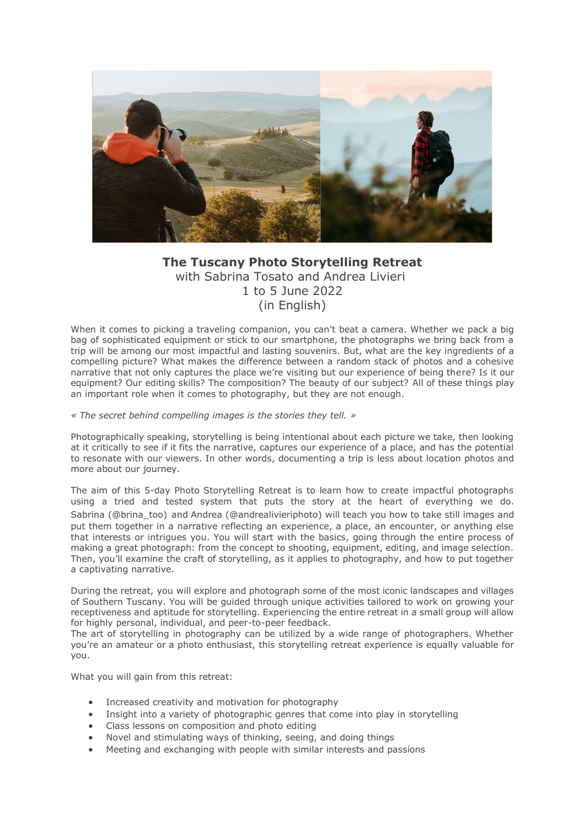

# **The Tuscany Photo Storytelling Retreat** with Sabrina Tosato and Andrea Livieri 1 to 5 June 2022 (in English)

When it comes to picking a traveling companion, you can't beat a camera. Whether we pack a big bag of sophisticated equipment or stick to our smartphone, the photographs we bring back from a trip will be among our most impactful and lasting souvenirs. But, what are the key ingredients of a compelling picture? What makes the difference between a random stack of photos and a cohesive narrative that not only captures the place we're visiting but our experience of being there? Is it our equipment? Our editing skills? The composition? The beauty of our subject? All of these things play an important role when it comes to photography, but they are not enough.

#### *« The secret behind compelling images is the stories they tell. »*

Photographically speaking, storytelling is being intentional about each picture we take, then looking at it critically to see if it fits the narrative, captures our experience of a place, and has the potential to resonate with our viewers. In other words, documenting a trip is less about location photos and more about our journey.

The aim of this 5-day Photo Storytelling Retreat is to learn how to create impactful photographs using a tried and tested system that puts the story at the heart of everything we do. Sabrina (@brina\_too) and Andrea (@andrealivieriphoto) will teach you how to take still images and put them together in a narrative reflecting an experience, a place, an encounter, or anything else that interests or intrigues you. You will start with the basics, going through the entire process of making a great photograph: from the concept to shooting, equipment, editing, and image selection. Then, you'll examine the craft of storytelling, as it applies to photography, and how to put together a captivating narrative.

During the retreat, you will explore and photograph some of the most iconic landscapes and villages of Southern Tuscany. You will be guided through unique activities tailored to work on growing your receptiveness and aptitude for storytelling. Experiencing the entire retreat in a small group will allow for highly personal, individual, and peer-to-peer feedback.

The art of storytelling in photography can be utilized by a wide range of photographers. Whether you're an amateur or a photo enthusiast, this storytelling retreat experience is equally valuable for you.

What you will gain from this retreat:

- Increased creativity and motivation for photography
- Insight into a variety of photographic genres that come into play in storytelling
- Class lessons on composition and photo editing
- Novel and stimulating ways of thinking, seeing, and doing things
- Meeting and exchanging with people with similar interests and passions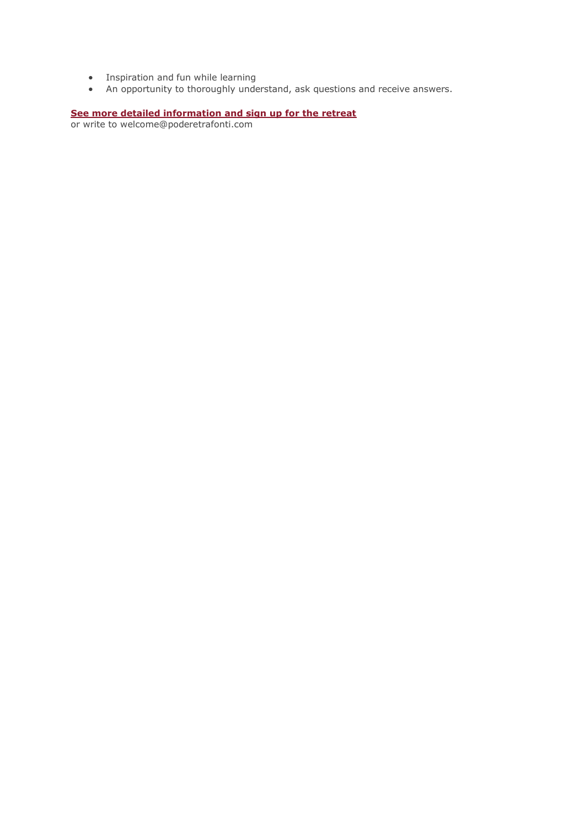- Inspiration and fun while learning
- An opportunity to thoroughly understand, ask questions and receive answers.

#### **[See more detailed information and sign up for the retreat](https://www.andrealivieriphoto.com/tuscany-visual-storytelling-photography/)**

or write to welcome@poderetrafonti.com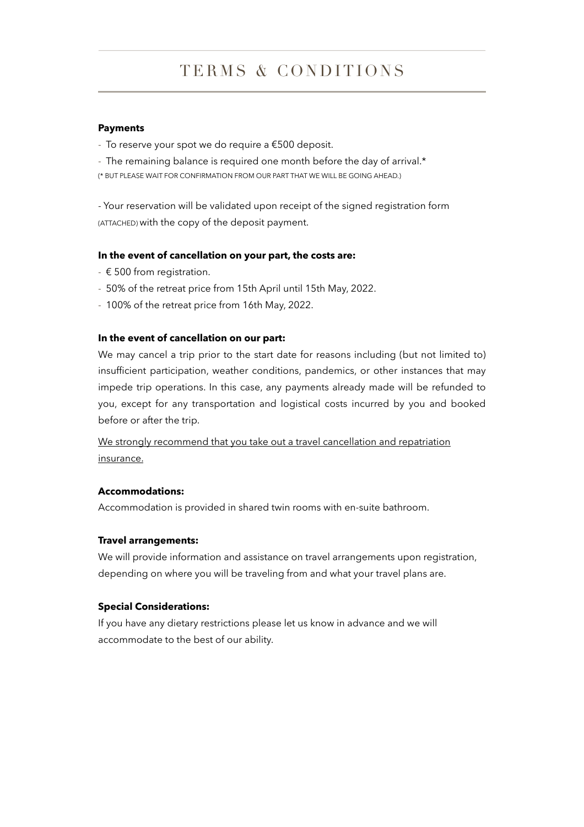# TERMS & CONDITIONS

#### **Payments**

- To reserve your spot we do require a €500 deposit.
- The remaining balance is required one month before the day of arrival.\*

(\* BUT PLEASE WAIT FOR CONFIRMATION FROM OUR PART THAT WE WILL BE GOING AHEAD.)

- Your reservation will be validated upon receipt of the signed registration form (ATTACHED) with the copy of the deposit payment.

# **In the event of cancellation on your part, the costs are:**

- $\epsilon$  500 from registration.
- 50% of the retreat price from 15th April until 15th May, 2022.
- 100% of the retreat price from 16th May, 2022.

### **In the event of cancellation on our part:**

We may cancel a trip prior to the start date for reasons including (but not limited to) insufficient participation, weather conditions, pandemics, or other instances that may impede trip operations. In this case, any payments already made will be refunded to you, except for any transportation and logistical costs incurred by you and booked before or after the trip.

We strongly recommend that you take out a travel cancellation and repatriation insurance.

### **Accommodations:**

Accommodation is provided in shared twin rooms with en-suite bathroom.

### **Travel arrangements:**

We will provide information and assistance on travel arrangements upon registration, depending on where you will be traveling from and what your travel plans are.

### **Special Considerations:**

If you have any dietary restrictions please let us know in advance and we will accommodate to the best of our ability.